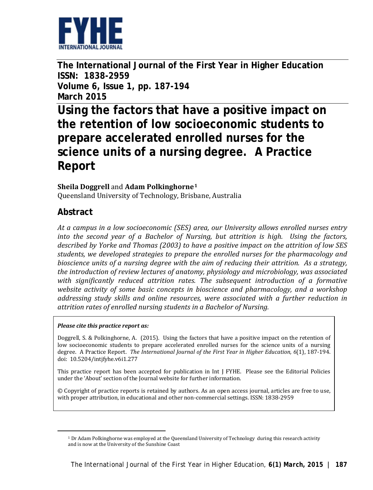

**The International Journal of the First Year in Higher Education ISSN: 1838-2959 Volume 6, Issue 1, pp. 187-194 March 2015**

**Using the factors that have a positive impact on the retention of low socioeconomic students to prepare accelerated enrolled nurses for the science units of a nursing degree. A Practice Report**

#### **Sheila Doggrell** and **Adam Polkinghorne[1](#page-0-0)**

Queensland University of Technology, Brisbane, Australia

### **Abstract**

<span id="page-0-0"></span>**.** 

*At a campus in a low socioeconomic (SES) area, our University allows enrolled nurses entry into the second year of a Bachelor of Nursing, but attrition is high. Using the factors, described by Yorke and Thomas (2003) to have a positive impact on the attrition of low SES students, we developed strategies to prepare the enrolled nurses for the pharmacology and bioscience units of a nursing degree with the aim of reducing their attrition. As a strategy, the introduction of review lectures of anatomy, physiology and microbiology, was associated with significantly reduced attrition rates. The subsequent introduction of a formative website activity of some basic concepts in bioscience and pharmacology, and a workshop addressing study skills and online resources, were associated with a further reduction in attrition rates of enrolled nursing students in a Bachelor of Nursing.* 

#### *Please cite this practice report as:*

Doggrell, S. & Polkinghorne, A. (2015). Using the factors that have a positive impact on the retention of low socioeconomic students to prepare accelerated enrolled nurses for the science units of a nursing degree. A Practice Report. *The International Journal of the First Year in Higher Education, 6*(1), 187-194. doi: 10.5204/intjfyhe.v6i1.277

This practice report has been accepted for publication in Int J FYHE. Please see the Editorial Policies under the 'About' section of the Journal website for further information.

© Copyright of practice reports is retained by authors. As an open access journal, articles are free to use, with proper attribution, in educational and other non-commercial settings. ISSN: 1838-2959

<sup>1</sup> Dr Adam Polkinghorne was employed at the Queensland University of Technology during this research activity and is now at the University of the Sunshine Coast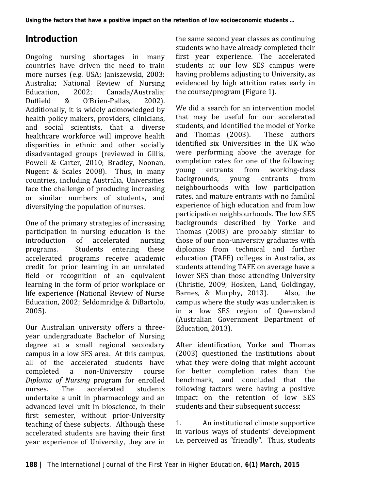# **Introduction**

Ongoing nursing shortages in many countries have driven the need to train more nurses (e.g. USA: Janiszewski, 2003; Australia; National Review of Nursing Education, 2002; Canada/Australia;<br>Duffield & O'Brien-Pallas, 2002). O'Brien-Pallas, Additionally, it is widely acknowledged by health policy makers, providers, clinicians, and social scientists, that a diverse healthcare workforce will improve health disparities in ethnic and other socially disadvantaged groups (reviewed in Gillis, Powell & Carter, 2010; Bradley, Noonan, Nugent & Scales 2008). Thus, in many countries, including Australia, Universities face the challenge of producing increasing or similar numbers of students, and diversifying the population of nurses.

One of the primary strategies of increasing participation in nursing education is the<br>introduction of accelerated nursing introduction<br>programs. Students entering these accelerated programs receive academic credit for prior learning in an unrelated field or recognition of an equivalent learning in the form of prior workplace or life experience (National Review of Nurse Education, 2002; Seldomridge & DiBartolo, 2005).

Our Australian university offers a threeyear undergraduate Bachelor of Nursing degree at a small regional secondary campus in a low SES area. At this campus, all of the accelerated students have<br>completed a non-University course non-University *Diploma of Nursing* program for enrolled accelerated undertake a unit in pharmacology and an advanced level unit in bioscience, in their first semester, without prior-University teaching of these subjects. Although these accelerated students are having their first year experience of University, they are in the same second year classes as continuing students who have already completed their first year experience. The accelerated students at our low SES campus were having problems adjusting to University, as evidenced by high attrition rates early in the course/program (Figure 1).

We did a search for an intervention model that may be useful for our accelerated students, and identified the model of Yorke<br>and Thomas (2003) These authors and Thomas  $(2003)$ . identified six Universities in the UK who were performing above the average for completion rates for one of the following:<br>voung entrants from working-class young entrants from working-class<br>backgrounds, young entrants from backgrounds, young entrants from neighbourhoods with low participation rates, and mature entrants with no familial experience of high education and from low participation neighbourhoods. The low SES backgrounds described by Yorke and Thomas (2003) are probably similar to those of our non-university graduates with diplomas from technical and further education (TAFE) colleges in Australia, as students attending TAFE on average have a lower SES than those attending University (Christie, 2009; Hosken, Land, Goldingay, Barnes. & Murphy. 2013). Also. the Barnes, & Murphy, 2013). campus where the study was undertaken is in a low SES region of Queensland (Australian Government Department of Education, 2013).

After identification, Yorke and Thomas (2003) questioned the institutions about what they were doing that might account for better completion rates than the benchmark, and concluded that the following factors were having a positive impact on the retention of low SES students and their subsequent success:

1. An institutional climate supportive in various ways of students' development i.e. perceived as "friendly". Thus, students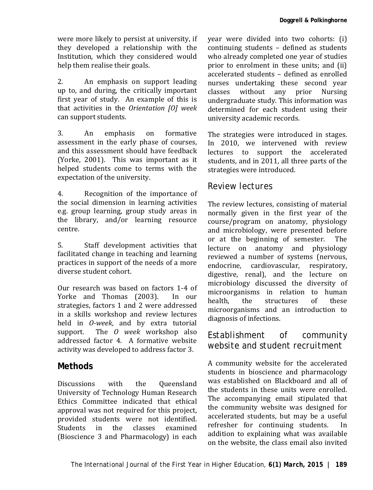were more likely to persist at university, if they developed a relationship with the Institution, which they considered would help them realise their goals.

2. An emphasis on support leading up to, and during, the critically important first year of study. An example of this is that activities in the *Orientation [O] week* can support students.

3. An emphasis on formative assessment in the early phase of courses, and this assessment should have feedback (Yorke, 2001). This was important as it helped students come to terms with the expectation of the university.

4. Recognition of the importance of the social dimension in learning activities e.g. group learning, group study areas in the library, and/or learning resource centre.

5. Staff development activities that facilitated change in teaching and learning practices in support of the needs of a more diverse student cohort.

Our research was based on factors 1-4 of<br>Yorke and Thomas (2003) In our Yorke and Thomas (2003). strategies, factors 1 and 2 were addressed in a skills workshop and review lectures held in *O-week*, and by extra tutorial The *O* week workshop also addressed factor 4. A formative website activity was developed to address factor 3.

### **Methods**

Discussions with the Queensland University of Technology Human Research Ethics Committee indicated that ethical approval was not required for this project, provided students were not identified.<br>Students in the classes examined classes examined (Bioscience 3 and Pharmacology) in each year were divided into two cohorts: (i) continuing students – defined as students who already completed one year of studies prior to enrolment in these units; and (ii) accelerated students – defined as enrolled nurses undertaking these second year<br>classes without any prior Nursing without any prior undergraduate study. This information was determined for each student using their university academic records.

The strategies were introduced in stages. In 2010, we intervened with review lectures to support the accelerated students, and in 2011, all three parts of the strategies were introduced.

#### *Review lectures*

The review lectures, consisting of material normally given in the first year of the course/program on anatomy, physiology and microbiology, were presented before<br>or at the beginning of semester. The or at the beginning of semester. lecture on anatomy and physiology reviewed a number of systems (nervous, endocrine, cardiovascular, respiratory, digestive, renal), and the lecture on microbiology discussed the diversity of microorganisms in relation to human<br>health. the structures of these health, the structures of these microorganisms and an introduction to diagnosis of infections.

#### *Establishment of community website and student recruitment*

A community website for the accelerated students in bioscience and pharmacology was established on Blackboard and all of the students in these units were enrolled. The accompanying email stipulated that the community website was designed for accelerated students, but may be a useful<br>refresher for continuing students. In refresher for continuing students. addition to explaining what was available on the website, the class email also invited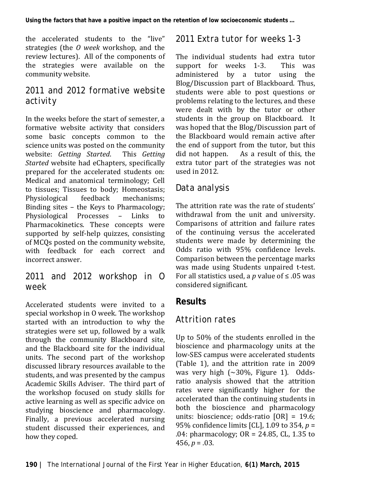the accelerated students to the "live" strategies (the *O week* workshop, and the review lectures). All of the components of the strategies were available on the community website.

## *2011 and 2012 formative website activity*

In the weeks before the start of semester, a formative website activity that considers some basic concepts common to the science units was posted on the community<br>website: *Getting Started*. This *Getting*  $website: *Getting Starting*$ *Started* website had eChapters, specifically prepared for the accelerated students on: Medical and anatomical terminology; Cell to tissues; Tissues to body; Homeostasis;<br>Physiological feedback mechanisms: Physiological Binding sites – the Keys to Pharmacology; Physiological Processes – Links to Pharmacokinetics. These concepts were supported by self-help quizzes, consisting of MCQs posted on the community website, with feedback for each correct and incorrect answer.

### *2011 and 2012 workshop in O week*

Accelerated students were invited to a special workshop in O week. The workshop started with an introduction to why the strategies were set up, followed by a walk through the community Blackboard site, and the Blackboard site for the individual units. The second part of the workshop discussed library resources available to the students, and was presented by the campus Academic Skills Adviser. The third part of the workshop focused on study skills for active learning as well as specific advice on studying bioscience and pharmacology. Finally, a previous accelerated nursing student discussed their experiences, and how they coped.

### *2011 Extra tutor for weeks 1-3*

The individual students had extra tutor<br>sunnort for weeks 1-3. This was support for weeks 1-3. administered by a tutor using the Blog/Discussion part of Blackboard. Thus, students were able to post questions or problems relating to the lectures, and these were dealt with by the tutor or other students in the group on Blackboard. It was hoped that the Blog/Discussion part of the Blackboard would remain active after the end of support from the tutor, but this<br>did not happen. As a result of this, the As a result of this, the extra tutor part of the strategies was not used in 2012.

### *Data analysis*

The attrition rate was the rate of students' withdrawal from the unit and university. Comparisons of attrition and failure rates of the continuing versus the accelerated students were made by determining the Odds ratio with 95% confidence levels. Comparison between the percentage marks was made using Students unpaired t-test. For all statistics used, a *p* value of ≤ .05 was considered significant.

# **Results**

# *Attrition rates*

Up to 50% of the students enrolled in the bioscience and pharmacology units at the low-SES campus were accelerated students (Table 1), and the attrition rate in 2009 was very high  $(\sim 30\%$ , Figure 1). Oddsratio analysis showed that the attrition rates were significantly higher for the accelerated than the continuing students in both the bioscience and pharmacology units: bioscience; odds-ratio [OR] = 19.6; 95% confidence limits [CL], 1.09 to 354, *p* = .04: pharmacology; OR = 24.85, CL, 1.35 to 456,  $p = .03$ .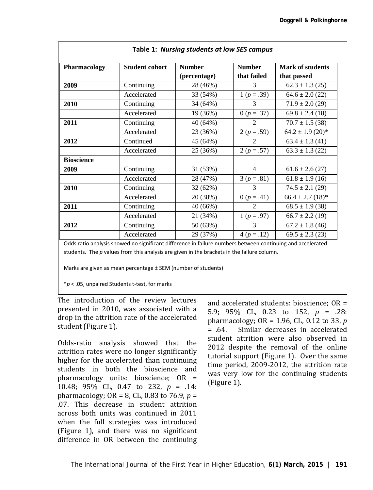| Pharmacology      | <b>Student cohort</b> | <b>Number</b><br>(percentage) | <b>Number</b><br>that failed | Mark of students<br>that passed |
|-------------------|-----------------------|-------------------------------|------------------------------|---------------------------------|
|                   |                       |                               |                              |                                 |
| Accelerated       | 33 (54%)              | $1 (p=.39)$                   | $64.6 \pm 2.0$ (22)          |                                 |
| 2010              | Continuing            | 34 (64%)                      | 3                            | $71.9 \pm 2.0$ (29)             |
|                   | Accelerated           | 19 (36%)                      | $0 (p=.37)$                  | $69.8 \pm 2.4(18)$              |
| 2011              | Continuing            | 40 (64%)                      | $\mathfrak{D}$               | $70.7 \pm 1.5$ (38)             |
|                   | Accelerated           | 23 (36%)                      | 2 ( $p = .59$ )              | $64.2 \pm 1.9$ (20)*            |
| 2012              | Continued             | 45 (64%)                      | $\mathcal{D}_{\mathcal{L}}$  | $63.4 \pm 1.3$ (41)             |
|                   | Accelerated           | 25 (36%)                      | $2 (p=.57)$                  | $63.3 \pm 1.3$ (22)             |
| <b>Bioscience</b> |                       |                               |                              |                                 |
| 2009              | Continuing            | 31 (53%)                      | 4                            | $61.6 \pm 2.6$ (27)             |
|                   | Accelerated           | 28 (47%)                      | $3 (p=.81)$                  | $61.8 \pm 1.9$ (16)             |
| 2010              | Continuing            | 32 (62%)                      | 3                            | $74.5 \pm 2.1$ (29)             |
|                   | Accelerated           | 20 (38%)                      | 0 ( $p = .41$ )              | $66.4 \pm 2.7$ (18)*            |
| 2011              | Continuing            | 40 (66%)                      | 2                            | $68.5 \pm 1.9$ (38)             |
|                   | Accelerated           | 21 (34%)                      | $1 (p = .97)$                | $66.7 \pm 2.2$ (19)             |
| 2012              | Continuing            | 50 (63%)                      | 3                            | $67.2 \pm 1.8$ (46)             |
|                   | Accelerated           | 29 (37%)                      | $4 (p=.12)$                  | $69.5 \pm 2.3(23)$              |

Odds ratio analysis showed no significant difference in failure numbers between continuing and accelerated students. The *p* values from this analysis are given in the brackets in the failure column.

Marks are given as mean percentage ± SEM (number of students)

\**p* < .05, unpaired Students t-test, for marks

The introduction of the review lectures presented in 2010, was associated with a drop in the attrition rate of the accelerated student (Figure 1).

Odds-ratio analysis showed that the attrition rates were no longer significantly higher for the accelerated than continuing students in both the bioscience and pharmacology units: bioscience; OR = 10.48; 95% CL, 0.47 to 232, *p* = .14: pharmacology; OR = 8, CL, 0.83 to 76.9, *p* = .07. This decrease in student attrition across both units was continued in 2011 when the full strategies was introduced (Figure 1), and there was no significant difference in OR between the continuing

and accelerated students: bioscience; OR = 5.9; 95% CL, 0.23 to 152, *p* = .28: pharmacology;  $OR = 1.96$ ,  $CL$ ,  $0.12$  to 33,  $p = .64$ . Similar decreases in accelerated Similar decreases in accelerated student attrition were also observed in 2012 despite the removal of the online tutorial support (Figure 1). Over the same time period, 2009-2012, the attrition rate was very low for the continuing students (Figure 1).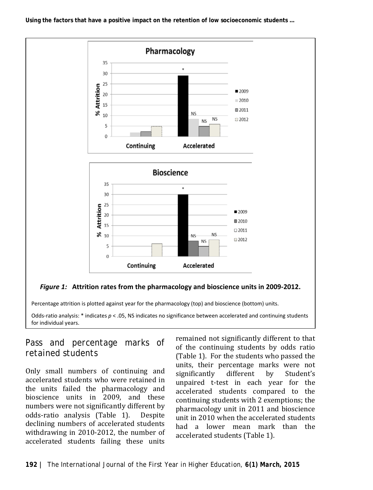**Using the factors that have a positive impact on the retention of low socioeconomic students …**



Percentage attrition is plotted against year for the pharmacology (top) and bioscience (bottom) units.

Odds-ratio analysis:  $*$  indicates  $p < .05$ , NS indicates no significance between accelerated and continuing students for individual years.

### *Pass and percentage marks of retained students*

Only small numbers of continuing and accelerated students who were retained in the units failed the pharmacology and bioscience units in 2009, and these numbers were not significantly different by<br>odds-ratio analysis (Table 1). Despite odds-ratio analysis (Table 1). declining numbers of accelerated students withdrawing in 2010-2012, the number of accelerated students failing these units

remained not significantly different to that of the continuing students by odds ratio (Table 1). For the students who passed the units, their percentage marks were not<br>significantly different by Student's significantly different by Student's unpaired t-test in each year for the accelerated students compared to the continuing students with 2 exemptions; the pharmacology unit in 2011 and bioscience unit in 2010 when the accelerated students had a lower mean mark than the accelerated students (Table 1).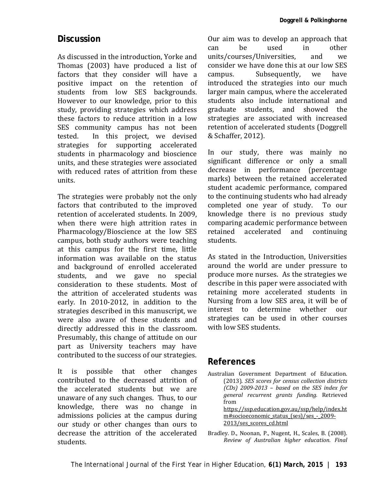#### **Discussion**

As discussed in the introduction, Yorke and Thomas (2003) have produced a list of factors that they consider will have a positive impact on the retention of students from low SES backgrounds. However to our knowledge, prior to this study, providing strategies which address these factors to reduce attrition in a low SES community campus has not been<br>tested. In this project, we devised In this project, we devised strategies for supporting accelerated students in pharmacology and bioscience units, and these strategies were associated with reduced rates of attrition from these units.

The strategies were probably not the only factors that contributed to the improved retention of accelerated students. In 2009, when there were high attrition rates in Pharmacology/Bioscience at the low SES campus, both study authors were teaching at this campus for the first time, little information was available on the status and background of enrolled accelerated<br>students, and we gave no special students, and we gave no consideration to these students. Most of the attrition of accelerated students was early. In 2010-2012, in addition to the strategies described in this manuscript, we were also aware of these students and directly addressed this in the classroom. Presumably, this change of attitude on our part as University teachers may have contributed to the success of our strategies.

It is possible that other changes contributed to the decreased attrition of the accelerated students but we are unaware of any such changes. Thus, to our knowledge, there was no change in admissions policies at the campus during our study or other changes than ours to decrease the attrition of the accelerated students.

Our aim was to develop an approach that<br>can be used in other can be used in other units/courses/Universities, and we consider we have done this at our low SES<br>campus. Subsequently, we have Subsequently, introduced the strategies into our much larger main campus, where the accelerated students also include international and graduate students, and showed the strategies are associated with increased retention of accelerated students (Doggrell & Schaffer, 2012).

In our study, there was mainly no significant difference or only a small decrease in performance (percentage marks) between the retained accelerated student academic performance, compared to the continuing students who had already completed one year of study. To our knowledge there is no previous study comparing academic performance between<br>retained accelerated and continuing retained accelerated and students.

As stated in the Introduction, Universities around the world are under pressure to produce more nurses. As the strategies we describe in this paper were associated with retaining more accelerated students in Nursing from a low SES area, it will be of interest to determine whether our strategies can be used in other courses with low SES students.

#### **References**

Australian Government Department of Education. (2013). *SES scores for census collection districts (CDs) 2009-2013 – based on the SES index for general recurrent grants funding.* Retrieved from [https://ssp.education.gov.au/ssp/help/index.ht](https://ssp.education.gov.au/ssp/help/index.htm#socioeconomic_status_(ses)/ses_-_2009-2013/ses_scores_cd.html) m#socioeconomic\_status (ses)/ses - 2009-

[2013/ses\\_scores\\_cd.html](https://ssp.education.gov.au/ssp/help/index.htm#socioeconomic_status_(ses)/ses_-_2009-2013/ses_scores_cd.html)

Bradley. D., Noonan, P., Nugent, H., Scales, B. (2008). *Review of Australian higher education. Final*